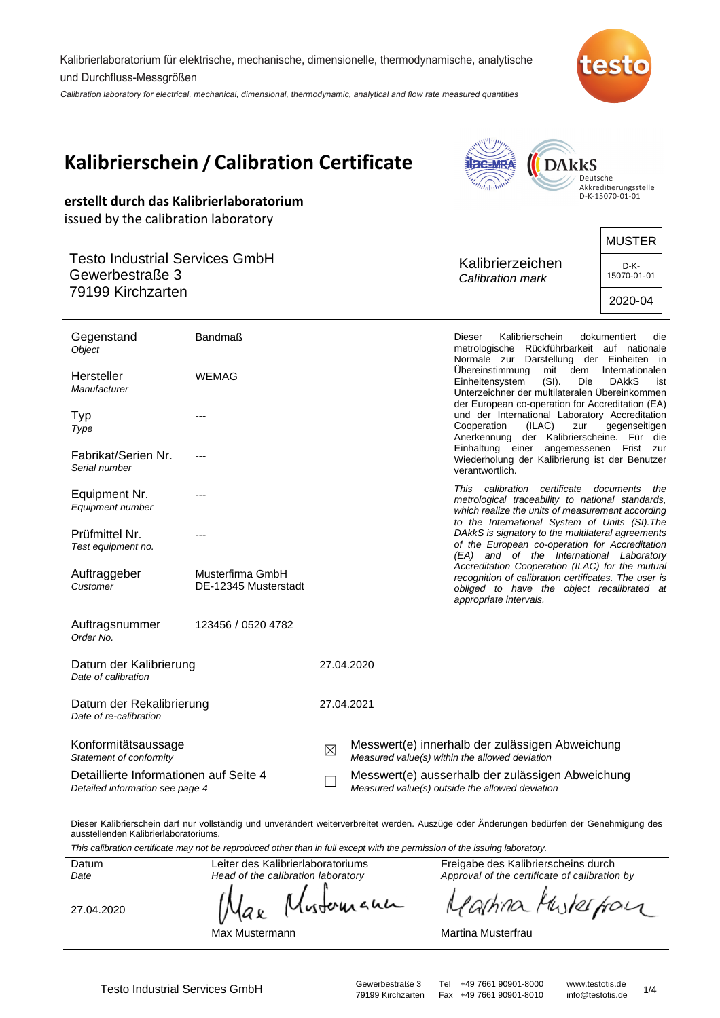Kalibrierlaboratorium für elektrische, mechanische, dimensionelle, thermodynamische, analytische und Durchfluss-Messgrößen

Calibration laboratory for electrical, mechanical, dimensional, thermodynamic, analytical and flow rate measured quantities



| erstellt durch das Kalibrierlaboratorium                                                                              | <b>Kalibrierschein / Calibration Certificate</b> |   |                                                                                                     | $d_{\rm mlnW}$                               | <b>DARKS</b>                                     | Deutsche<br>Akkreditierungsstelle<br>D-K-15070-01-01                                                                                                                                                                                                                                                             |
|-----------------------------------------------------------------------------------------------------------------------|--------------------------------------------------|---|-----------------------------------------------------------------------------------------------------|----------------------------------------------|--------------------------------------------------|------------------------------------------------------------------------------------------------------------------------------------------------------------------------------------------------------------------------------------------------------------------------------------------------------------------|
| issued by the calibration laboratory<br><b>Testo Industrial Services GmbH</b><br>Gewerbestraße 3<br>79199 Kirchzarten |                                                  |   |                                                                                                     | Kalibrierzeichen<br>Calibration mark         |                                                  | <b>MUSTER</b><br>D-K-<br>15070-01-01<br>2020-04                                                                                                                                                                                                                                                                  |
| Gegenstand<br>Object<br>Hersteller<br>Manufacturer                                                                    | <b>Bandmaß</b><br><b>WEMAG</b>                   |   |                                                                                                     | Dieser<br>Übereinstimmung<br>Einheitensystem | Kalibrierschein<br>mit<br>dem<br>$(SI)$ .<br>Die | dokumentiert<br>die<br>metrologische Rückführbarkeit auf nationale<br>Normale zur Darstellung der Einheiten in<br>Internationalen<br><b>DAkkS</b><br>ist<br>Unterzeichner der multilateralen Übereinkommen<br>der European co-operation for Accreditation (EA)                                                   |
| Typ<br>Type<br>Fabrikat/Serien Nr.<br>Serial number                                                                   | ---                                              |   |                                                                                                     | Cooperation<br>verantwortlich.               | (ILAC)<br>zur                                    | und der International Laboratory Accreditation<br>gegenseitigen<br>Anerkennung der Kalibrierscheine. Für die<br>Einhaltung einer angemessenen Frist zur<br>Wiederholung der Kalibrierung ist der Benutzer                                                                                                        |
| Equipment Nr.<br>Equipment number<br>Prüfmittel Nr.<br>Test equipment no.                                             | ---<br>---                                       |   |                                                                                                     |                                              | This calibration certificate documents           | the<br>metrological traceability to national standards,<br>which realize the units of measurement according<br>to the International System of Units (SI). The<br>DAkkS is signatory to the multilateral agreements<br>of the European co-operation for Accreditation<br>(EA) and of the International Laboratory |
| Auftraggeber<br>Customer                                                                                              | Musterfirma GmbH<br>DE-12345 Musterstadt         |   |                                                                                                     | appropriate intervals.                       |                                                  | Accreditation Cooperation (ILAC) for the mutual<br>recognition of calibration certificates. The user is<br>obliged to have the object recalibrated at                                                                                                                                                            |
| Auftragsnummer<br>Order No.                                                                                           | 123456 / 0520 4782                               |   |                                                                                                     |                                              |                                                  |                                                                                                                                                                                                                                                                                                                  |
| Datum der Kalibrierung<br>Date of calibration                                                                         |                                                  |   | 27.04.2020                                                                                          |                                              |                                                  |                                                                                                                                                                                                                                                                                                                  |
| Datum der Rekalibrierung<br>Date of re-calibration                                                                    |                                                  |   | 27.04.2021                                                                                          |                                              |                                                  |                                                                                                                                                                                                                                                                                                                  |
| Konformitätsaussage<br>Statement of conformity                                                                        |                                                  | ⊠ | Messwert(e) innerhalb der zulässigen Abweichung<br>Measured value(s) within the allowed deviation   |                                              |                                                  |                                                                                                                                                                                                                                                                                                                  |
| Detaillierte Informationen auf Seite 4<br>Detailed information see page 4                                             |                                                  |   | Messwert(e) ausserhalb der zulässigen Abweichung<br>Measured value(s) outside the allowed deviation |                                              |                                                  |                                                                                                                                                                                                                                                                                                                  |

Dieser Kalibrierschein darf nur vollständig und unverändert weiterverbreitet werden. Auszüge oder Änderungen bedürfen der Genehmigung des ausstellenden Kalibrierlaboratoriums.

This calibration certificate may not be reproduced other than in full except with the permission of the issuing laboratory.

Datum Date

27.04.2020

Head of the calibration laboratory wherean аx

Leiter des Kalibrierlaboratoriums

Max Mustermann

Freigabe des Kalibrierscheins durch Approval of the certificate of calibration by

Kwkerfor achina N

Martina Musterfrau

Testo Industrial Services GmbH<br>79199 Kirchzarten Fax +49 7661 90901-8010 info@testotis.de 1/4 79199 Kirchzarten Fax +49 7661 90901-8010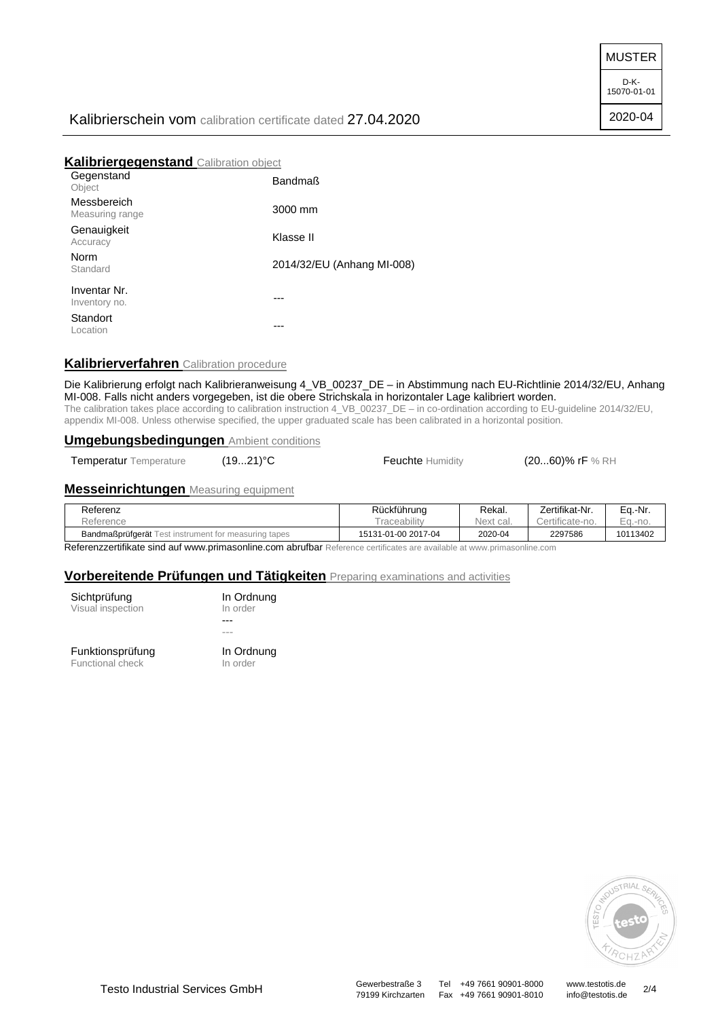MUSTER

D-K-15070-01-01

2020-04

# Kalibrierschein vom calibration certificate dated 27.04.2020

# **Kalibriergegenstand** Calibration object

| Gegenstand<br>Object           | <b>Bandmaß</b>             |
|--------------------------------|----------------------------|
| Messbereich<br>Measuring range | 3000 mm                    |
| Genauigkeit<br>Accuracy        | Klasse II                  |
| Norm<br>Standard               | 2014/32/EU (Anhang MI-008) |
| Inventar Nr.<br>Inventory no.  |                            |
| Standort<br>Location           |                            |
|                                |                            |

# **Kalibrierverfahren** Calibration procedure

Die Kalibrierung erfolgt nach Kalibrieranweisung 4\_VB\_00237\_DE – in Abstimmung nach EU-Richtlinie 2014/32/EU, Anhang MI-008. Falls nicht anders vorgegeben, ist die obere Strichskala in horizontaler Lage kalibriert worden. The calibration takes place according to calibration instruction 4\_VB\_00237\_DE – in co-ordination according to EU-guideline 2014/32/EU, appendix MI-008. Unless otherwise specified, the upper graduated scale has been calibrated in a horizontal position.

#### **Umgebungsbedingungen** Ambient conditions

Temperatur Temperature (19...21)<sup>°</sup>C **Feuchte** Humidity (20...60)% rF % RH

#### **Messeinrichtungen** Measuring equipment

| Referenz                                                    | Rückführung         | Rekal.    | Zertifikat-Nr. | Ea.-Nr.    |
|-------------------------------------------------------------|---------------------|-----------|----------------|------------|
| Reference                                                   | raceability         | Next cal. | ertificate-no. | $Eq. -no.$ |
| <b>Bandmaßprüfgerät</b> Test instrument for measuring tapes | 15131-01-00 2017-04 | 2020-04   | 2297586        | 10113402   |

Referenzzertifikate sind auf www.primasonline.com abrufbar Reference certificates are available at www.primasonline.com

#### **Vorbereitende Prüfungen und Tätigkeiten** Preparing examinations and activities

| Sichtprüfung      |  |
|-------------------|--|
| Visual inspection |  |
|                   |  |

In Ordnung In order ---

Funktionsprüfung Functional check

--- In Ordnung In order

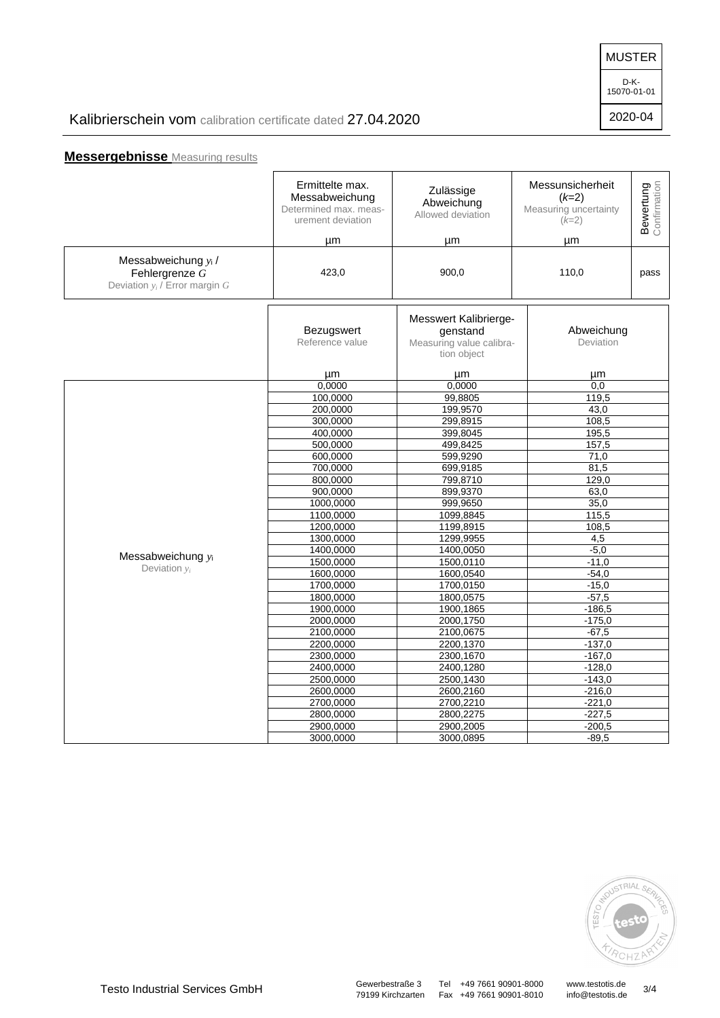MUSTER

D-K-15070-01-01

2020-04

# Kalibrierschein vom calibration certificate dated 27.04.2020

# **Messergebnisse** Measuring results

|                                                                          | Ermittelte max.<br>Messabweichung<br>Determined max. meas-<br>urement deviation<br>μm | Zulässige<br>Abweichung<br>Allowed deviation<br>μm                           | Messunsicherheit<br>$(k=2)$<br>Measuring uncertainty<br>$(k=2)$<br>μm | <b>Bewertung</b><br>Confirmation |
|--------------------------------------------------------------------------|---------------------------------------------------------------------------------------|------------------------------------------------------------------------------|-----------------------------------------------------------------------|----------------------------------|
| Messabweichung yi/<br>Fehlergrenze G<br>Deviation $y_i$ / Error margin G | 423,0                                                                                 | 900,0                                                                        | 110,0                                                                 | pass                             |
|                                                                          | Bezugswert<br>Reference value                                                         | Messwert Kalibrierge-<br>genstand<br>Measuring value calibra-<br>tion object | Abweichung<br>Deviation                                               |                                  |
|                                                                          | μm                                                                                    | μm                                                                           | μm                                                                    |                                  |
|                                                                          | 0.0000                                                                                | 0.0000                                                                       | 0.0                                                                   |                                  |
|                                                                          | 100,0000                                                                              | 99,8805                                                                      | 119,5                                                                 |                                  |
|                                                                          | 200,0000                                                                              | 199,9570                                                                     | 43,0                                                                  |                                  |
|                                                                          | 300,0000                                                                              | 299,8915                                                                     | 108,5                                                                 |                                  |
|                                                                          | 400,0000                                                                              | 399,8045                                                                     | 195,5                                                                 |                                  |
|                                                                          | 500,0000                                                                              | 499,8425                                                                     | 157,5                                                                 |                                  |
|                                                                          | 600,0000                                                                              | 599,9290                                                                     | 71,0                                                                  |                                  |
|                                                                          | 700,0000                                                                              | 699,9185                                                                     | 81,5                                                                  |                                  |
|                                                                          | 800,0000                                                                              | 799,8710                                                                     | 129,0                                                                 |                                  |
|                                                                          | 900,0000                                                                              | 899,9370                                                                     | 63,0                                                                  |                                  |
|                                                                          | 1000,0000                                                                             | 999,9650                                                                     | 35,0                                                                  |                                  |
|                                                                          | 1100,0000                                                                             | 1099,8845                                                                    | 115,5                                                                 |                                  |
|                                                                          | 1200,0000                                                                             | 1199,8915                                                                    | 108,5                                                                 |                                  |
|                                                                          | 1300,0000                                                                             | 1299,9955                                                                    | 4,5                                                                   |                                  |
| Messabweichung yi                                                        | 1400,0000                                                                             | 1400,0050                                                                    | $-5,0$                                                                |                                  |
|                                                                          | 1500,0000                                                                             | 1500,0110                                                                    | $-11,0$                                                               |                                  |
| Deviation $v_i$                                                          | 1600,0000                                                                             | 1600,0540                                                                    | $-54,0$                                                               |                                  |
|                                                                          | 1700,0000                                                                             | 1700,0150                                                                    | $-15,0$                                                               |                                  |
|                                                                          | 1800,0000                                                                             | 1800,0575                                                                    | $-57,5$                                                               |                                  |
|                                                                          | 1900,0000                                                                             | 1900,1865                                                                    | $-186,5$                                                              |                                  |
|                                                                          | 2000,0000                                                                             | 2000,1750                                                                    | $-175,0$                                                              |                                  |
|                                                                          | 2100,0000                                                                             | 2100,0675                                                                    | $-67.5$                                                               |                                  |
|                                                                          | 2200,0000                                                                             | 2200,1370                                                                    | $-137,0$                                                              |                                  |
|                                                                          | 2300,0000<br>2300,1670                                                                |                                                                              | $-167,0$<br>$-128.0$                                                  |                                  |
|                                                                          |                                                                                       | 2400.0000<br>2400,1280                                                       |                                                                       |                                  |
|                                                                          | 2500,0000                                                                             | 2500,1430                                                                    | $-143,0$                                                              |                                  |
|                                                                          | 2600,0000                                                                             | 2600,2160                                                                    | $-216,0$                                                              |                                  |
|                                                                          | 2700,0000                                                                             | 2700,2210                                                                    | $-221,0$                                                              |                                  |
|                                                                          | 2800,0000                                                                             | 2800,2275                                                                    | $-227,5$                                                              |                                  |
|                                                                          | 2900,0000                                                                             | 2900,2005                                                                    | $-200,5$                                                              |                                  |
|                                                                          | 3000,0000                                                                             | 3000,0895                                                                    | $-89,5$                                                               |                                  |